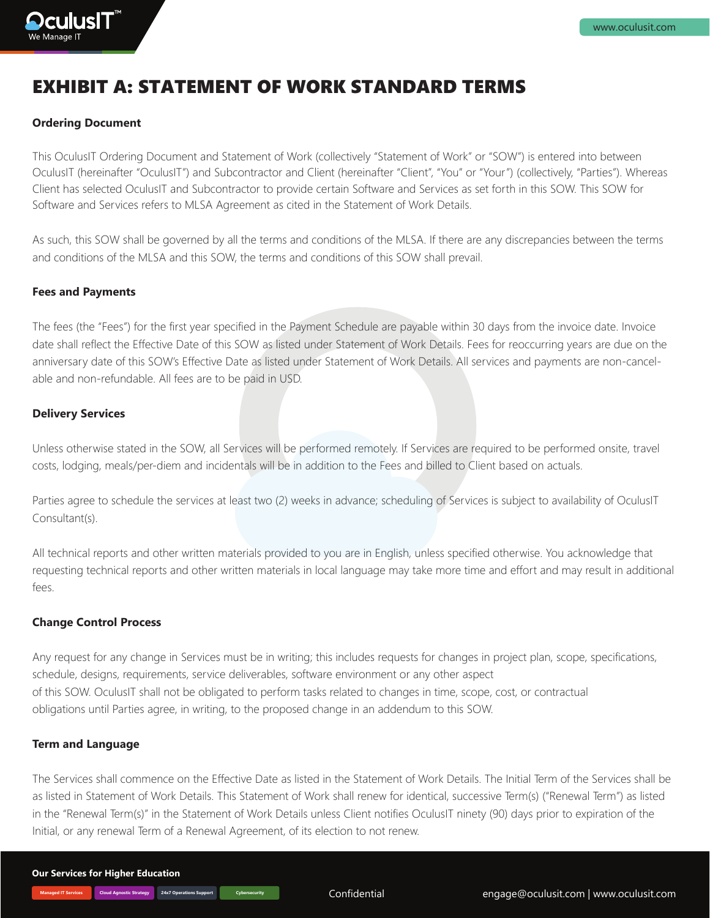# EXHIBIT A: STATEMENT OF WORK STANDARD TERMS

# **Ordering Document**

**Dculus T** 

This OculusIT Ordering Document and Statement of Work (collectively "Statement of Work" or "SOW") is entered into between OculusIT (hereinafter "OculusIT") and Subcontractor and Client (hereinafter "Client", "You" or "Your") (collectively, "Parties"). Whereas Client has selected OculusIT and Subcontractor to provide certain Software and Services as set forth in this SOW. This SOW for Software and Services refers to MLSA Agreement as cited in the Statement of Work Details.

As such, this SOW shall be governed by all the terms and conditions of the MLSA. If there are any discrepancies between the terms and conditions of the MLSA and this SOW, the terms and conditions of this SOW shall prevail.

#### **Fees and Payments**

The fees (the "Fees") for the first year specified in the Payment Schedule are payable within 30 days from the invoice date. Invoice date shall reflect the Effective Date of this SOW as listed under Statement of Work Details. Fees for reoccurring years are due on the anniversary date of this SOW's Effective Date as listed under Statement of Work Details. All services and payments are non-cancelable and non-refundable. All fees are to be paid in USD.

### **Delivery Services**

Unless otherwise stated in the SOW, all Services will be performed remotely. If Services are required to be performed onsite, travel costs, lodging, meals/per-diem and incidentals will be in addition to the Fees and billed to Client based on actuals.

Parties agree to schedule the services at least two (2) weeks in advance; scheduling of Services is subject to availability of OculusIT Consultant(s).

All technical reports and other written materials provided to you are in English, unless specified otherwise. You acknowledge that requesting technical reports and other written materials in local language may take more time and effort and may result in additional fees.

### **Change Control Process**

Any request for any change in Services must be in writing; this includes requests for changes in project plan, scope, specifications, schedule, designs, requirements, service deliverables, software environment or any other aspect of this SOW. OculusIT shall not be obligated to perform tasks related to changes in time, scope, cost, or contractual obligations until Parties agree, in writing, to the proposed change in an addendum to this SOW.

# **Term and Language**

The Services shall commence on the Effective Date as listed in the Statement of Work Details. The Initial Term of the Services shall be as listed in Statement of Work Details. This Statement of Work shall renew for identical, successive Term(s) ("Renewal Term") as listed in the "Renewal Term(s)" in the Statement of Work Details unless Client notifies OculusIT ninety (90) days prior to expiration of the Initial, or any renewal Term of a Renewal Agreement, of its election to not renew.

**Managed IT Services Cloud Agnostic Strategy 24x7 Operations Support Cybersecurity**